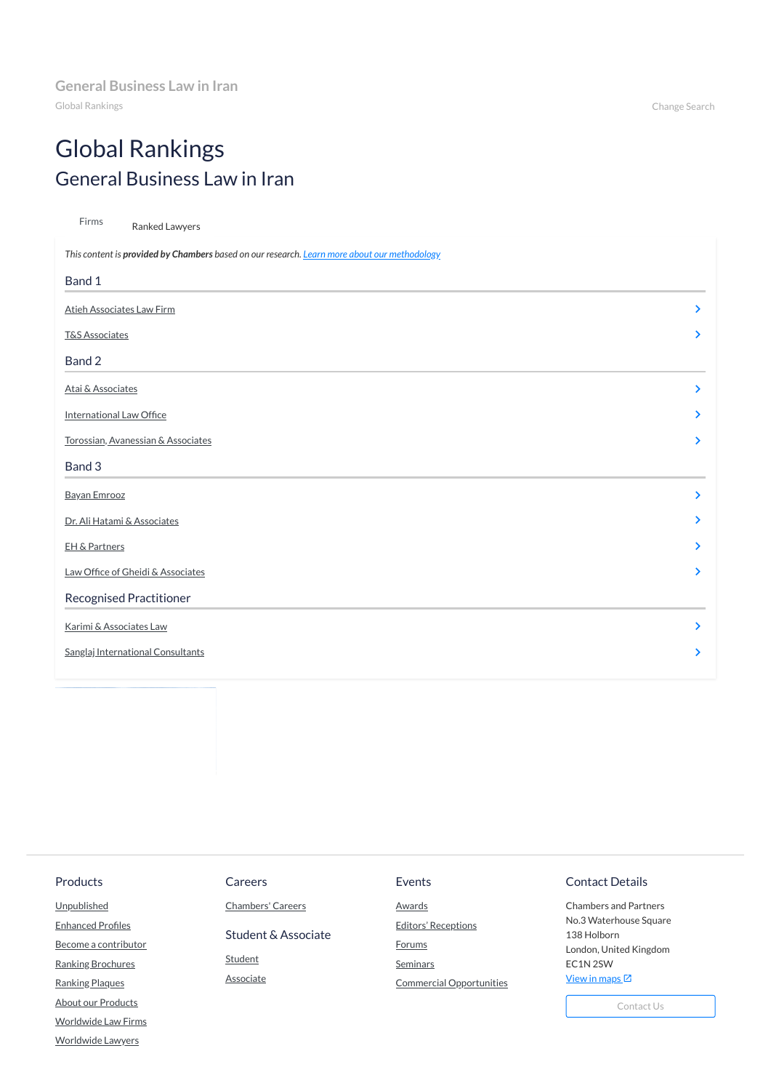Global Rankings Change Search

# Global Rankings General Business Law in Iran

| Firms<br>Ranked Lawyers                                                                      |                       |
|----------------------------------------------------------------------------------------------|-----------------------|
| This content is provided by Chambers based on our research. Learn more about our methodology |                       |
| Band 1                                                                                       |                       |
| <b>Atieh Associates Law Firm</b>                                                             | $\blacktriangleright$ |
| <b>T&amp;S Associates</b>                                                                    | $\blacktriangleright$ |
| Band 2                                                                                       |                       |
| Atai & Associates                                                                            | $\sum$                |
| <b>International Law Office</b>                                                              | ≻                     |
| Torossian, Avanessian & Associates                                                           | $\blacktriangleright$ |
| Band 3                                                                                       |                       |
| <b>Bayan Emrooz</b>                                                                          | ≻                     |
| Dr. Ali Hatami & Associates                                                                  | $\blacktriangleright$ |
| EH & Partners                                                                                | ⋗                     |
| Law Office of Gheidi & Associates                                                            | $\blacktriangleright$ |
| <b>Recognised Practitioner</b>                                                               |                       |
| Karimi & Associates Law                                                                      |                       |
| Sanglaj International Consultants                                                            | ⋗                     |
|                                                                                              |                       |

Chambers and Partners No.3 Waterhouse Square 138 Holborn London, United Kingdom EC1N 2SW View in [maps](https://www.google.co.uk/maps/place/Chambers+%26+Partners/@51.518206,-0.1122111,17z/data=!4m12!1m6!3m5!1s0x48761b3455555555:0xe5d70c14e21a4807!2sChambers+%26+Partners!8m2!3d51.518206!4d-0.1100224!3m4!1s0x48761b3455555555:0xe5d70c14e21a4807!8m2!3d51.518206!4d-0.1100224)  $\boxtimes$ 

### Products

**[Unpublished](https://chambers.com/products/chambers-unpublished)** 

**[Enhanced](https://chambers.com/products/enhanced-profiles) Profiles** 

Become a [contributor](https://chambers.com/products/become-a-contributor)

Ranking [Brochures](https://chambers.com/products/chambers-brochures)

[Ranking](https://chambers.com/products/chambers-ranking-plaques) Plaques

**[About our](https://chambers.com/overview) Products** 

[Worldwide](https://chambers.com/all-law-firms) Law Firms

[Worldwide](https://chambers.com/all-lawyers-global-2) Lawyers

## Careers

[Chambers'](https://chambers.com/careers/jobs-at-chambers) Careers

Student & Associate

**[Student](https://www.chambersstudent.com/)** 

**[Associate](https://www.chambers-associate.com/)** 

# Events

**[Awards](https://chambers.com/events/chambers-awards)** 

Editors' [Receptions](https://chambers.com/events/chambers-editors-receptions)

**[Forums](https://chambers.com/events/chambers-forums)** 

**[Seminars](https://chambers.com/events/gc-seminars)** 

Commercial [Opportunities](https://chambers.com/events/sponsorship)

# Contact Details

[Contact Us](https://chambers.com/info/contact-us)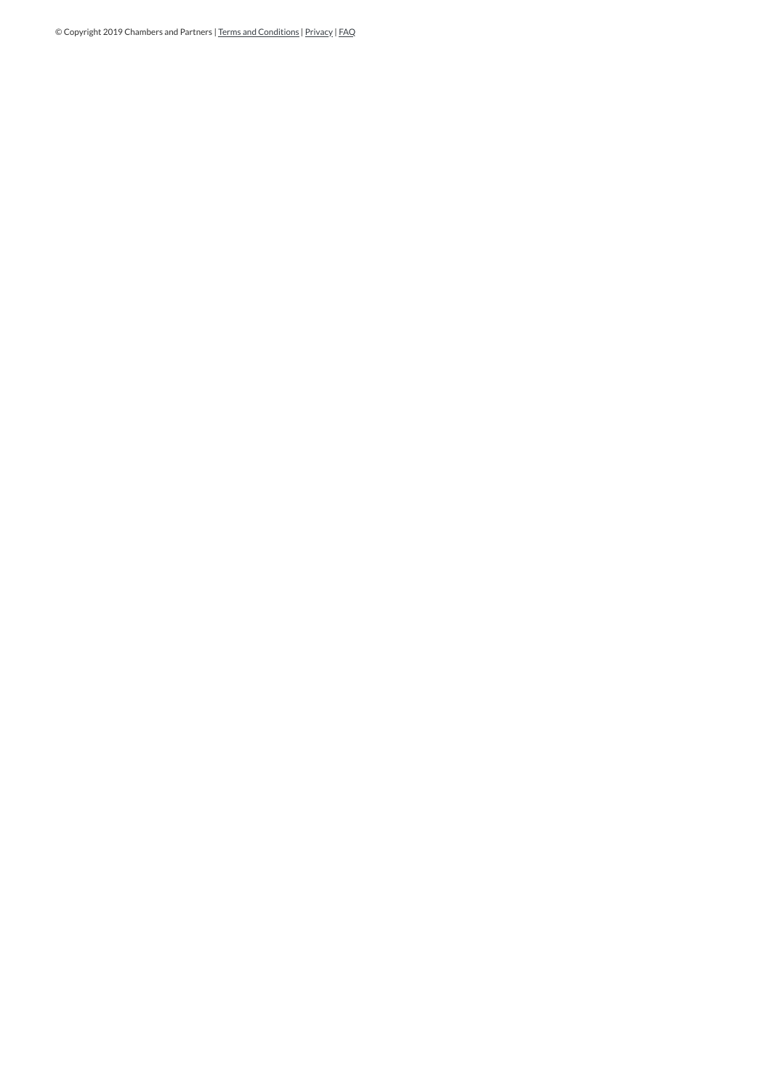© Copyright 2019 Chambers and Partners | Terms and [Conditions](https://chambers.com/info/terms-and-conditions) | [Privacy](https://chambers.com/info/privacy) | [FAQ](https://chambers.com/info/faqs)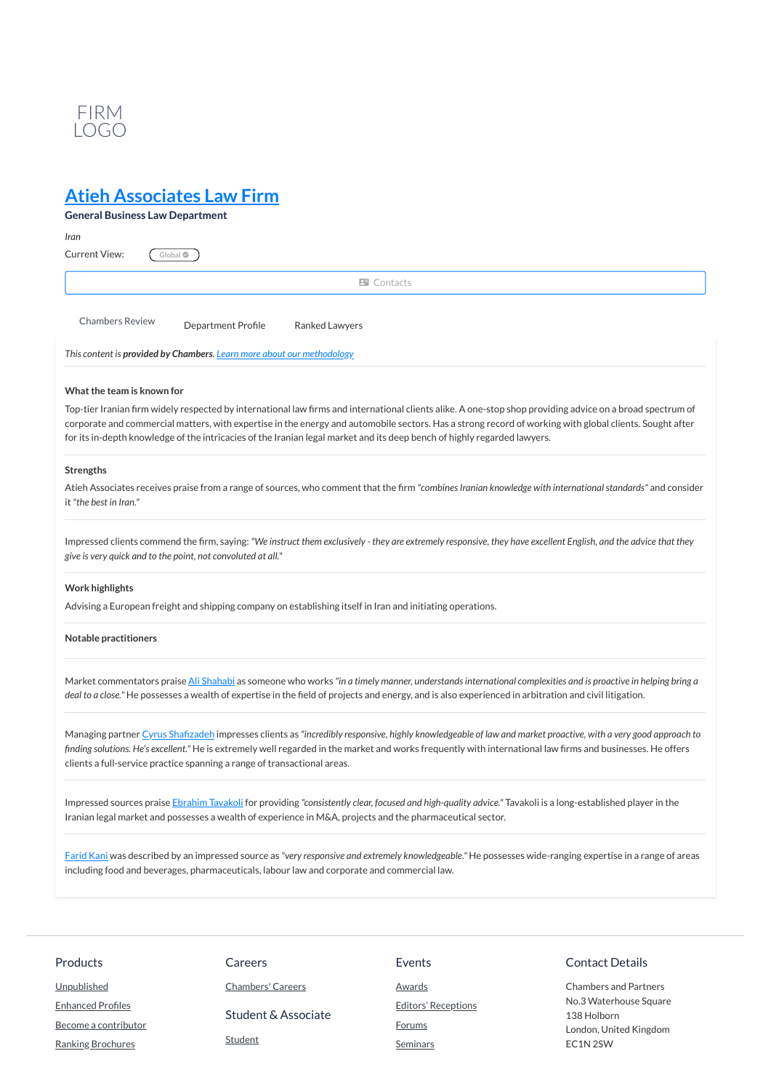

Top-tier Iranian firm widely respected by international law firms and international clients alike. A one-stop shop providing advice on a broad spectrum of corporate and commercial matters, with expertise in the energy and automobile sectors. Has a strong record of working with global clients. Sought after for its in-depth knowledge of the intricacies of the Iranian legal market and its deep bench of highly regarded lawyers.

Atieh Associates receives praise from a range of sources, who comment that the firm "combines Iranian knowledge with international standards" and consider it *"the best in Iran."*

Impressed clients commend the firm, saying: "We instruct them exclusively - they are extremely responsive, they have excellent English, and the advice that they *give is very quick and to the point, not convoluted at all."*

### **Strengths**

Managing partner Cyrus Shafizadeh impresses clients as "incredibly responsive, highly knowledgeable of law and market proactive, with a very good approach to finding solutions. He's excellent." He is extremely well regarded in the market and works frequently with international law firms and businesses. He offers clients a full-service practice spanning a range of transactional areas.

### **Work highlights**

Advising a European freight and shipping company on establishing itself in Iran and initiating operations.

#### **Notable practitioners**

Market commentators praise Ali [Shahabi](https://chambers.com/lawyer/ali-shahabi-global-2:1438581) as someone who works "in a timely manner, understands international complexities and is proactive in helping bring a deal to a close." He possesses a wealth of expertise in the field of projects and energy, and is also experienced in arbitration and civil litigation.

Impressed sources praise [Ebrahim](https://chambers.com/lawyer/ebrahim-tavakoli-global-2:646847) Tavakoli for providing *"consistently clear, focused and high-quality advice."* Tavakoli is a long-established player in the Iranian legal market and possesses a wealth of experience in M&A, projects and the pharmaceutical sector.

[Farid](https://chambers.com/lawyer/farid-kani-global-2:25787420) Kani was described by an impressed source as *"very responsive and extremely knowledgeable."* He possesses wide-ranging expertise in a range of areas including food and beverages, pharmaceuticals, labour law and corporate and commercial law.

# **Atieh [Associates](https://chambers.com/law-firm/atieh-associates-law-firm-global-2:77585) Law Firm**

| <b>General Business Law Department</b> |                                                                        |                   |  |
|----------------------------------------|------------------------------------------------------------------------|-------------------|--|
| Iran                                   |                                                                        |                   |  |
| Current View:                          | Global <sup>•</sup>                                                    |                   |  |
|                                        |                                                                        | <b>E</b> Contacts |  |
| <b>Chambers Review</b>                 | Department Profile                                                     | Ranked Lawyers    |  |
|                                        | This content is provided by Chambers. Learn more about our methodology |                   |  |

### **What the team is known for**

| <b>Products</b>          | Careers                  | Events                     | <b>Contact Details</b>                |
|--------------------------|--------------------------|----------------------------|---------------------------------------|
| Unpublished              | <b>Chambers' Careers</b> | <b>Awards</b>              | <b>Chambers and Partners</b>          |
| <b>Enhanced Profiles</b> | Student & Associate      | <b>Editors' Receptions</b> | No.3 Waterhouse Square<br>138 Holborn |
| Become a contributor     |                          | <b>Forums</b>              | London, United Kingdom                |
| <b>Ranking Brochures</b> | <b>Student</b>           | Seminars                   | EC1N 2SW                              |